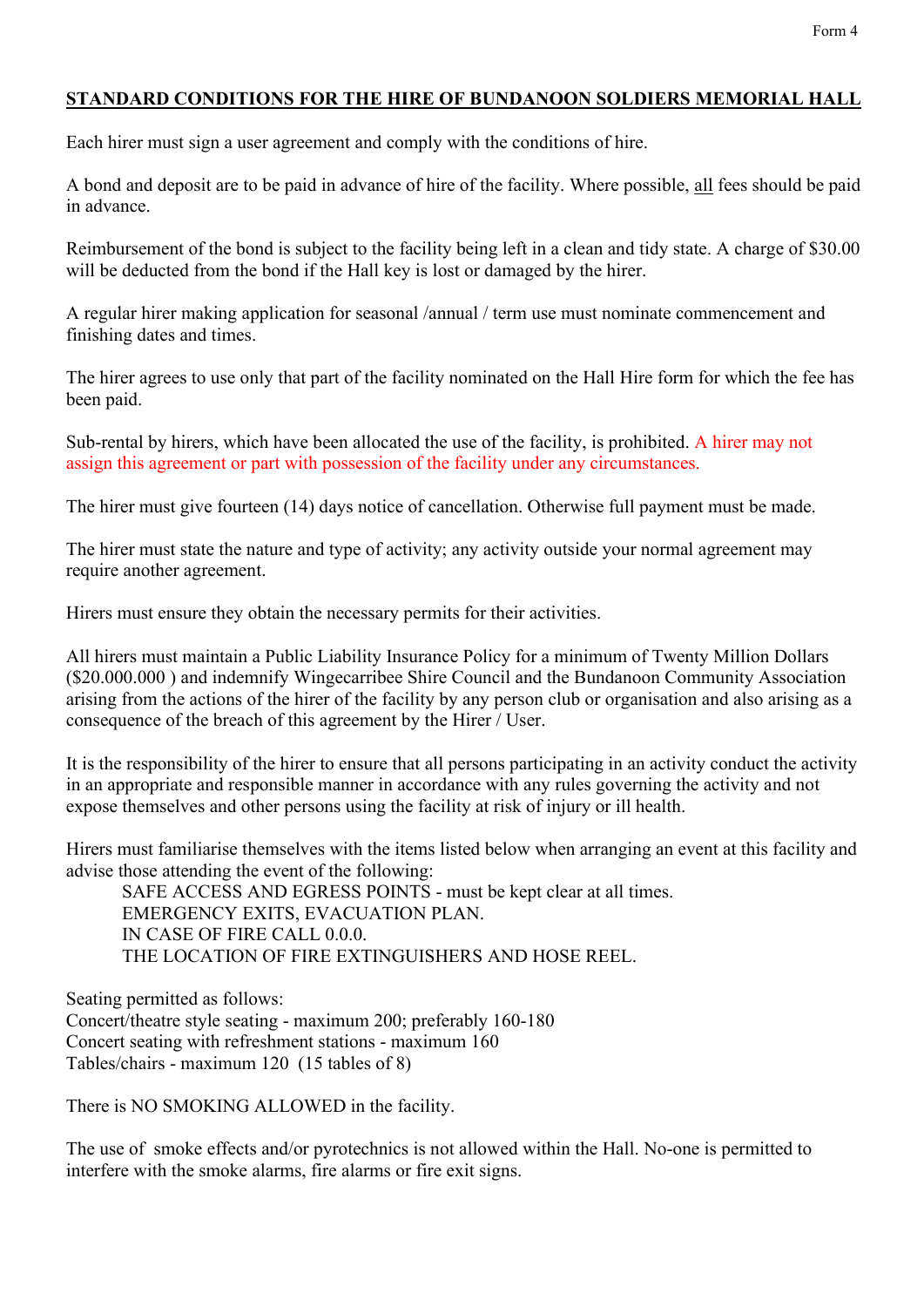## **STANDARD CONDITIONS FOR THE HIRE OF BUNDANOON SOLDIERS MEMORIAL HALL**

Each hirer must sign a user agreement and comply with the conditions of hire.

A bond and deposit are to be paid in advance of hire of the facility. Where possible, all fees should be paid in advance.

Reimbursement of the bond is subject to the facility being left in a clean and tidy state. A charge of \$30.00 will be deducted from the bond if the Hall key is lost or damaged by the hirer.

A regular hirer making application for seasonal /annual / term use must nominate commencement and finishing dates and times.

The hirer agrees to use only that part of the facility nominated on the Hall Hire form for which the fee has been paid.

Sub-rental by hirers, which have been allocated the use of the facility, is prohibited. A hirer may not assign this agreement or part with possession of the facility under any circumstances.

The hirer must give fourteen (14) days notice of cancellation. Otherwise full payment must be made.

The hirer must state the nature and type of activity; any activity outside your normal agreement may require another agreement.

Hirers must ensure they obtain the necessary permits for their activities.

All hirers must maintain a Public Liability Insurance Policy for a minimum of Twenty Million Dollars (\$20.000.000 ) and indemnify Wingecarribee Shire Council and the Bundanoon Community Association arising from the actions of the hirer of the facility by any person club or organisation and also arising as a consequence of the breach of this agreement by the Hirer / User.

It is the responsibility of the hirer to ensure that all persons participating in an activity conduct the activity in an appropriate and responsible manner in accordance with any rules governing the activity and not expose themselves and other persons using the facility at risk of injury or ill health.

Hirers must familiarise themselves with the items listed below when arranging an event at this facility and advise those attending the event of the following:

SAFE ACCESS AND EGRESS POINTS - must be kept clear at all times. EMERGENCY EXITS, EVACUATION PLAN. IN CASE OF FIRE CALL 0.0.0. THE LOCATION OF FIRE EXTINGUISHERS AND HOSE REEL.

Seating permitted as follows: Concert/theatre style seating - maximum 200; preferably 160-180 Concert seating with refreshment stations - maximum 160 Tables/chairs - maximum 120 (15 tables of 8)

There is NO SMOKING ALLOWED in the facility.

The use of smoke effects and/or pyrotechnics is not allowed within the Hall. No-one is permitted to interfere with the smoke alarms, fire alarms or fire exit signs.